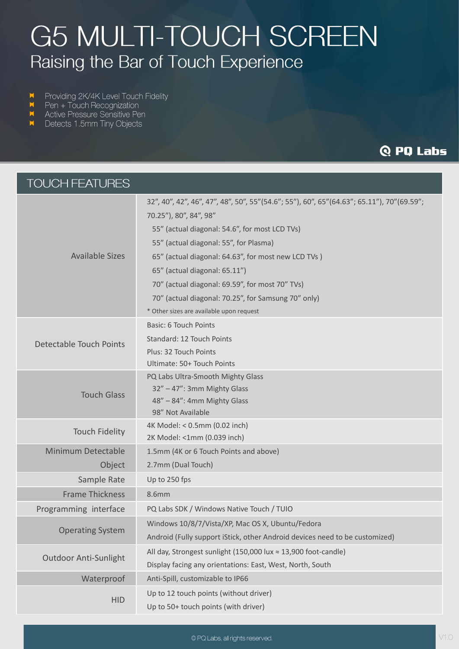# **G5 MULTI-TOUCH SCREEN** Raising the Bar of Touch Experience

- Providing 2K/4K Level Touch Fidelity
- Pen + Touch Recognization
- Active Pressure Sensitive Pen
- Detects 1.5mm Tiny Objects

# **Q PQ Labs**

| <b>TOUCH FEATURES</b>          |                                                                                           |
|--------------------------------|-------------------------------------------------------------------------------------------|
| <b>Available Sizes</b>         | 32", 40", 42", 46", 47", 48", 50", 55"(54.6"; 55"), 60", 65"(64.63"; 65.11"), 70"(69.59"; |
|                                | 70.25"), 80", 84", 98"                                                                    |
|                                | 55" (actual diagonal: 54.6", for most LCD TVs)                                            |
|                                | 55" (actual diagonal: 55", for Plasma)                                                    |
|                                | 65" (actual diagonal: 64.63", for most new LCD TVs)                                       |
|                                | 65" (actual diagonal: 65.11")                                                             |
|                                | 70" (actual diagonal: 69.59", for most 70" TVs)                                           |
|                                | 70" (actual diagonal: 70.25", for Samsung 70" only)                                       |
|                                | * Other sizes are available upon request                                                  |
|                                | Basic: 6 Touch Points                                                                     |
| <b>Detectable Touch Points</b> | Standard: 12 Touch Points                                                                 |
|                                | Plus: 32 Touch Points                                                                     |
|                                | Ultimate: 50+ Touch Points                                                                |
|                                | PQ Labs Ultra-Smooth Mighty Glass                                                         |
| <b>Touch Glass</b>             | 32" - 47": 3mm Mighty Glass                                                               |
|                                | 48" - 84": 4mm Mighty Glass<br>98" Not Available                                          |
|                                | 4K Model: < 0.5mm (0.02 inch)                                                             |
| <b>Touch Fidelity</b>          | 2K Model: <1mm (0.039 inch)                                                               |
| <b>Minimum Detectable</b>      | 1.5mm (4K or 6 Touch Points and above)                                                    |
| Object                         | 2.7mm (Dual Touch)                                                                        |
| Sample Rate                    | Up to 250 fps                                                                             |
| <b>Frame Thickness</b>         | <b>8.6mm</b>                                                                              |
| Programming interface          | PQ Labs SDK / Windows Native Touch / TUIO                                                 |
|                                | Windows 10/8/7/Vista/XP, Mac OS X, Ubuntu/Fedora                                          |
| <b>Operating System</b>        | Android (Fully support iStick, other Android devices need to be customized)               |
|                                | All day, Strongest sunlight (150,000 lux ≈ 13,900 foot-candle)                            |
| <b>Outdoor Anti-Sunlight</b>   | Display facing any orientations: East, West, North, South                                 |
| Waterproof                     | Anti-Spill, customizable to IP66                                                          |
| <b>HID</b>                     | Up to 12 touch points (without driver)                                                    |
|                                | Up to 50+ touch points (with driver)                                                      |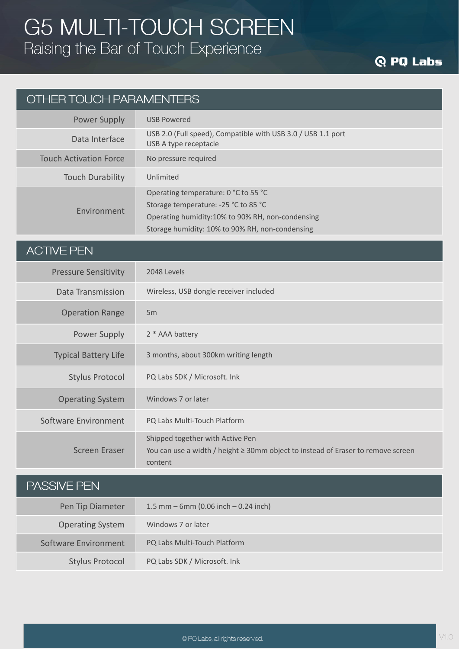# **Q PQ Labs**

#### OTHER TOUCH PARAMENTERS

| Power Supply                  | <b>USB Powered</b>                                                                                                               |
|-------------------------------|----------------------------------------------------------------------------------------------------------------------------------|
| Data Interface                | USB 2.0 (Full speed), Compatible with USB 3.0 / USB 1.1 port<br>USB A type receptacle                                            |
| <b>Touch Activation Force</b> | No pressure required                                                                                                             |
| <b>Touch Durability</b>       | Unlimited                                                                                                                        |
| Environment                   | Operating temperature: 0 °C to 55 °C<br>Storage temperature: -25 °C to 85 °C<br>Operating humidity:10% to 90% RH, non-condensing |
|                               | Storage humidity: 10% to 90% RH, non-condensing                                                                                  |

#### **ACTIVE PEN**

| <b>Pressure Sensitivity</b> | 2048 Levels                                                                                                                          |
|-----------------------------|--------------------------------------------------------------------------------------------------------------------------------------|
| Data Transmission           | Wireless, USB dongle receiver included                                                                                               |
| <b>Operation Range</b>      | 5m                                                                                                                                   |
| Power Supply                | 2 * AAA battery                                                                                                                      |
| <b>Typical Battery Life</b> | 3 months, about 300km writing length                                                                                                 |
| <b>Stylus Protocol</b>      | PQ Labs SDK / Microsoft. Ink                                                                                                         |
| <b>Operating System</b>     | Windows 7 or later                                                                                                                   |
| Software Environment        | PQ Labs Multi-Touch Platform                                                                                                         |
| <b>Screen Eraser</b>        | Shipped together with Active Pen<br>You can use a width / height $\geq$ 30mm object to instead of Eraser to remove screen<br>content |

| <b>PASSIVE PEN</b>      |                                          |
|-------------------------|------------------------------------------|
| Pen Tip Diameter        | 1.5 mm $-$ 6mm (0.06 inch $-$ 0.24 inch) |
| <b>Operating System</b> | Windows 7 or later                       |
| Software Environment    | PQ Labs Multi-Touch Platform             |
| <b>Stylus Protocol</b>  | PQ Labs SDK / Microsoft. Ink             |